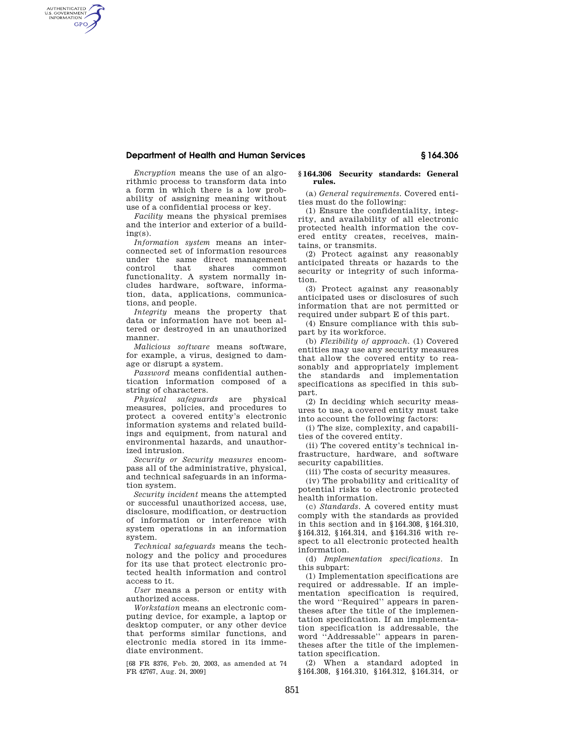## **Department of Health and Human Services § 164.306**

AUTHENTICATED<br>U.S. GOVERNMENT<br>INFORMATION GPO

> *Encryption* means the use of an algorithmic process to transform data into a form in which there is a low probability of assigning meaning without use of a confidential process or key.

> *Facility* means the physical premises and the interior and exterior of a building(s).

> *Information system* means an interconnected set of information resources under the same direct management control that shares common functionality. A system normally includes hardware, software, information, data, applications, communications, and people.

> *Integrity* means the property that data or information have not been altered or destroyed in an unauthorized manner.

> *Malicious software* means software, for example, a virus, designed to damage or disrupt a system.

> *Password* means confidential authentication information composed of a string of characters.

> *Physical safeguards* are physical measures, policies, and procedures to protect a covered entity's electronic information systems and related buildings and equipment, from natural and environmental hazards, and unauthorized intrusion.

> *Security or Security measures* encompass all of the administrative, physical, and technical safeguards in an information system.

*Security incident* means the attempted or successful unauthorized access, use, disclosure, modification, or destruction of information or interference with system operations in an information system.

*Technical safeguards* means the technology and the policy and procedures for its use that protect electronic protected health information and control access to it.

*User* means a person or entity with authorized access.

*Workstation* means an electronic computing device, for example, a laptop or desktop computer, or any other device that performs similar functions, and electronic media stored in its immediate environment.

[68 FR 8376, Feb. 20, 2003, as amended at 74 FR 42767, Aug. 24, 2009]

## **§ 164.306 Security standards: General rules.**

(a) *General requirements.* Covered entities must do the following:

(1) Ensure the confidentiality, integrity, and availability of all electronic protected health information the covered entity creates, receives, maintains, or transmits.

(2) Protect against any reasonably anticipated threats or hazards to the security or integrity of such information.

(3) Protect against any reasonably anticipated uses or disclosures of such information that are not permitted or required under subpart E of this part.

(4) Ensure compliance with this subpart by its workforce.

(b) *Flexibility of approach.* (1) Covered entities may use any security measures that allow the covered entity to reasonably and appropriately implement the standards and implementation specifications as specified in this subpart.

(2) In deciding which security measures to use, a covered entity must take into account the following factors:

(i) The size, complexity, and capabilities of the covered entity.

(ii) The covered entity's technical infrastructure, hardware, and software security capabilities.

(iii) The costs of security measures.

(iv) The probability and criticality of potential risks to electronic protected health information.

(c) *Standards.* A covered entity must comply with the standards as provided in this section and in §164.308, §164.310, §164.312, §164.314, and §164.316 with respect to all electronic protected health information.

(d) *Implementation specifications.* In this subpart:

(1) Implementation specifications are required or addressable. If an implementation specification is required, the word ''Required'' appears in parentheses after the title of the implementation specification. If an implementation specification is addressable, the word ''Addressable'' appears in parentheses after the title of the implementation specification.

(2) When a standard adopted in §164.308, §164.310, §164.312, §164.314, or